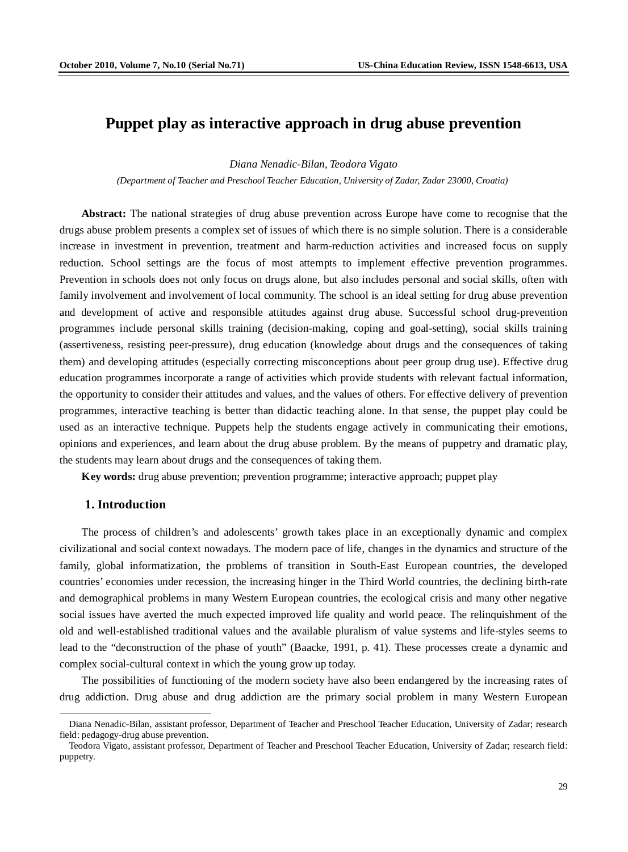# **Puppet play as interactive approach in drug abuse prevention**

*Diana Nenadic-Bilan, Teodora Vigato*

*(Department of Teacher and Preschool Teacher Education, University of Zadar, Zadar 23000, Croatia)*

**Abstract:** The national strategies of drug abuse prevention across Europe have come to recognise that the drugs abuse problem presents a complex set of issues of which there is no simple solution. There is a considerable increase in investment in prevention, treatment and harm-reduction activities and increased focus on supply reduction. School settings are the focus of most attempts to implement effective prevention programmes. Prevention in schools does not only focus on drugs alone, but also includes personal and social skills, often with family involvement and involvement of local community. The school is an ideal setting for drug abuse prevention and development of active and responsible attitudes against drug abuse. Successful school drug-prevention programmes include personal skills training (decision-making, coping and goal-setting), social skills training (assertiveness, resisting peer-pressure), drug education (knowledge about drugs and the consequences of taking them) and developing attitudes (especially correcting misconceptions about peer group drug use). Effective drug education programmes incorporate a range of activities which provide students with relevant factual information, the opportunity to consider their attitudes and values, and the values of others. For effective delivery of prevention programmes, interactive teaching is better than didactic teaching alone. In that sense, the puppet play could be used as an interactive technique. Puppets help the students engage actively in communicating their emotions, opinions and experiences, and learn about the drug abuse problem. By the means of puppetry and dramatic play, the students may learn about drugs and the consequences of taking them.

**Key words:** drug abuse prevention; prevention programme; interactive approach; puppet play

### **1. Introduction**

 $\overline{a}$ 

The process of children's and adolescents' growth takes place in an exceptionally dynamic and complex civilizational and social context nowadays. The modern pace of life, changes in the dynamics and structure of the family, global informatization, the problems of transition in South-East European countries, the developed countries' economies under recession, the increasing hinger in the Third World countries, the declining birth-rate and demographical problems in many Western European countries, the ecological crisis and many other negative social issues have averted the much expected improved life quality and world peace. The relinquishment of the old and well-established traditional values and the available pluralism of value systems and life-styles seems to lead to the "deconstruction of the phase of youth" (Baacke, 1991, p. 41). These processes create a dynamic and complex social-cultural context in which the young grow up today.

The possibilities of functioning of the modern society have also been endangered by the increasing rates of drug addiction. Drug abuse and drug addiction are the primary social problem in many Western European

Diana Nenadic-Bilan, assistant professor, Department of Teacher and Preschool Teacher Education, University of Zadar; research field: pedagogy-drug abuse prevention.

Teodora Vigato, assistant professor, Department of Teacher and Preschool Teacher Education, University of Zadar; research field: puppetry.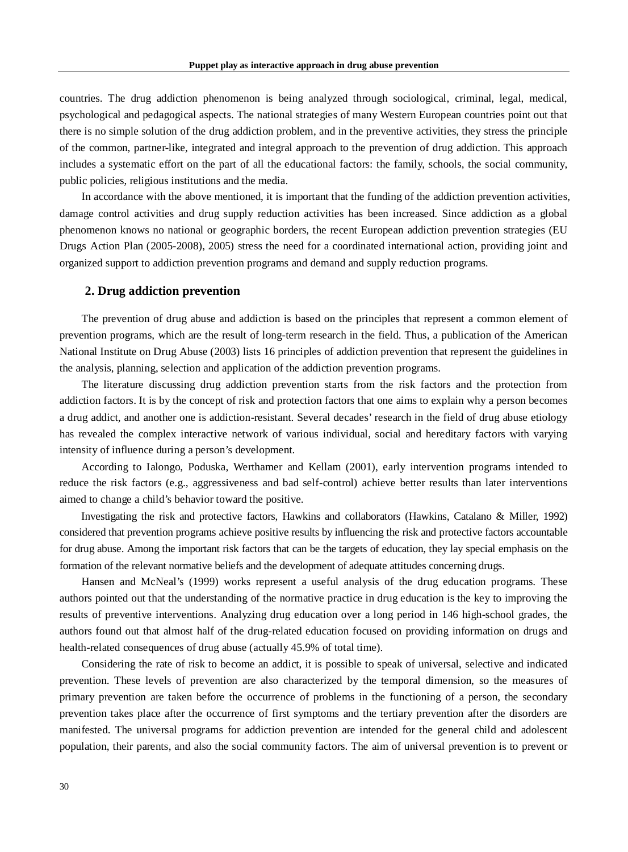countries. The drug addiction phenomenon is being analyzed through sociological, criminal, legal, medical, psychological and pedagogical aspects. The national strategies of many Western European countries point out that there is no simple solution of the drug addiction problem, and in the preventive activities, they stress the principle of the common, partner-like, integrated and integral approach to the prevention of drug addiction. This approach includes a systematic effort on the part of all the educational factors: the family, schools, the social community, public policies, religious institutions and the media.

In accordance with the above mentioned, it is important that the funding of the addiction prevention activities, damage control activities and drug supply reduction activities has been increased. Since addiction as a global phenomenon knows no national or geographic borders, the recent European addiction prevention strategies (EU Drugs Action Plan (2005-2008), 2005) stress the need for a coordinated international action, providing joint and organized support to addiction prevention programs and demand and supply reduction programs.

#### **2. Drug addiction prevention**

The prevention of drug abuse and addiction is based on the principles that represent a common element of prevention programs, which are the result of long-term research in the field. Thus, a publication of the American National Institute on Drug Abuse (2003) lists 16 principles of addiction prevention that represent the guidelines in the analysis, planning, selection and application of the addiction prevention programs.

The literature discussing drug addiction prevention starts from the risk factors and the protection from addiction factors. It is by the concept of risk and protection factors that one aims to explain why a person becomes a drug addict, and another one is addiction-resistant. Several decades' research in the field of drug abuse etiology has revealed the complex interactive network of various individual, social and hereditary factors with varying intensity of influence during a person's development.

According to Ialongo, Poduska, Werthamer and Kellam (2001), early intervention programs intended to reduce the risk factors (e.g., aggressiveness and bad self-control) achieve better results than later interventions aimed to change a child's behavior toward the positive.

Investigating the risk and protective factors, Hawkins and collaborators (Hawkins, Catalano & Miller, 1992) considered that prevention programs achieve positive results by influencing the risk and protective factors accountable for drug abuse. Among the important risk factors that can be the targets of education, they lay special emphasis on the formation of the relevant normative beliefs and the development of adequate attitudes concerning drugs.

Hansen and McNeal's (1999) works represent a useful analysis of the drug education programs. These authors pointed out that the understanding of the normative practice in drug education is the key to improving the results of preventive interventions. Analyzing drug education over a long period in 146 high-school grades, the authors found out that almost half of the drug-related education focused on providing information on drugs and health-related consequences of drug abuse (actually 45.9% of total time).

Considering the rate of risk to become an addict, it is possible to speak of universal, selective and indicated prevention. These levels of prevention are also characterized by the temporal dimension, so the measures of primary prevention are taken before the occurrence of problems in the functioning of a person, the secondary prevention takes place after the occurrence of first symptoms and the tertiary prevention after the disorders are manifested. The universal programs for addiction prevention are intended for the general child and adolescent population, their parents, and also the social community factors. The aim of universal prevention is to prevent or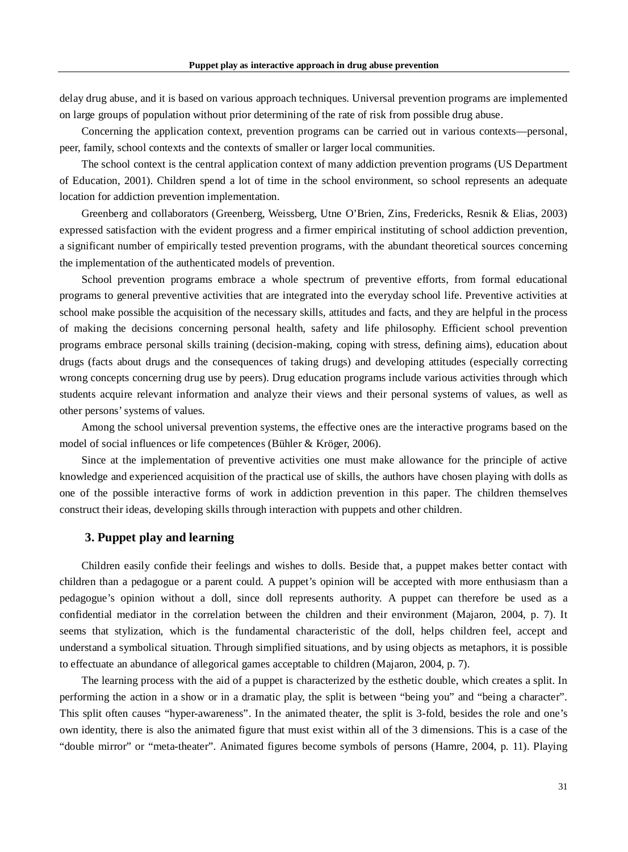delay drug abuse, and it is based on various approach techniques. Universal prevention programs are implemented on large groups of population without prior determining of the rate of risk from possible drug abuse.

Concerning the application context, prevention programs can be carried out in various contexts—personal, peer, family, school contexts and the contexts of smaller or larger local communities.

The school context is the central application context of many addiction prevention programs (US Department of Education, 2001). Children spend a lot of time in the school environment, so school represents an adequate location for addiction prevention implementation.

Greenberg and collaborators (Greenberg, Weissberg, Utne O'Brien, Zins, Fredericks, Resnik & Elias, 2003) expressed satisfaction with the evident progress and a firmer empirical instituting of school addiction prevention, a significant number of empirically tested prevention programs, with the abundant theoretical sources concerning the implementation of the authenticated models of prevention.

School prevention programs embrace a whole spectrum of preventive efforts, from formal educational programs to general preventive activities that are integrated into the everyday school life. Preventive activities at school make possible the acquisition of the necessary skills, attitudes and facts, and they are helpful in the process of making the decisions concerning personal health, safety and life philosophy. Efficient school prevention programs embrace personal skills training (decision-making, coping with stress, defining aims), education about drugs (facts about drugs and the consequences of taking drugs) and developing attitudes (especially correcting wrong concepts concerning drug use by peers). Drug education programs include various activities through which students acquire relevant information and analyze their views and their personal systems of values, as well as other persons' systems of values.

Among the school universal prevention systems, the effective ones are the interactive programs based on the model of social influences or life competences (Bühler & Kröger, 2006).

Since at the implementation of preventive activities one must make allowance for the principle of active knowledge and experienced acquisition of the practical use of skills, the authors have chosen playing with dolls as one of the possible interactive forms of work in addiction prevention in this paper. The children themselves construct their ideas, developing skills through interaction with puppets and other children.

### **3. Puppet play and learning**

Children easily confide their feelings and wishes to dolls. Beside that, a puppet makes better contact with children than a pedagogue or a parent could. A puppet's opinion will be accepted with more enthusiasm than a pedagogue's opinion without a doll, since doll represents authority. A puppet can therefore be used as a confidential mediator in the correlation between the children and their environment (Majaron, 2004, p. 7). It seems that stylization, which is the fundamental characteristic of the doll, helps children feel, accept and understand a symbolical situation. Through simplified situations, and by using objects as metaphors, it is possible to effectuate an abundance of allegorical games acceptable to children (Majaron, 2004, p. 7).

The learning process with the aid of a puppet is characterized by the esthetic double, which creates a split. In performing the action in a show or in a dramatic play, the split is between "being you" and "being a character". This split often causes "hyper-awareness". In the animated theater, the split is 3-fold, besides the role and one's own identity, there is also the animated figure that must exist within all of the 3 dimensions. This is a case of the "double mirror" or "meta-theater". Animated figures become symbols of persons (Hamre, 2004, p. 11). Playing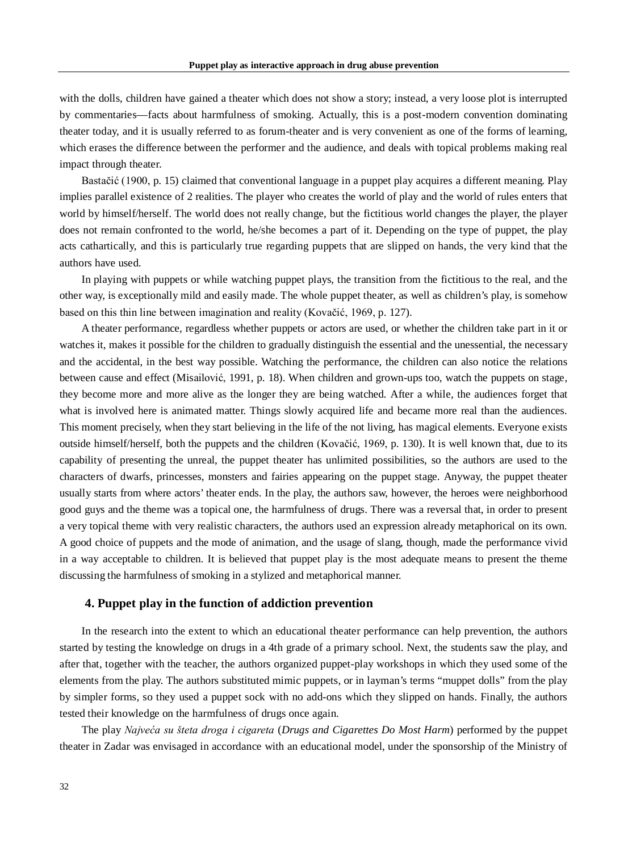with the dolls, children have gained a theater which does not show a story; instead, a very loose plot is interrupted by commentaries—facts about harmfulness of smoking. Actually, this is a post-modern convention dominating theater today, and it is usually referred to as forum-theater and is very convenient as one of the forms of learning, which erases the difference between the performer and the audience, and deals with topical problems making real impact through theater.

Bastačić (1900, p. 15) claimed that conventional language in a puppet play acquires a different meaning. Play implies parallel existence of 2 realities. The player who creates the world of play and the world of rules enters that world by himself/herself. The world does not really change, but the fictitious world changes the player, the player does not remain confronted to the world, he/she becomes a part of it. Depending on the type of puppet, the play acts cathartically, and this is particularly true regarding puppets that are slipped on hands, the very kind that the authors have used.

In playing with puppets or while watching puppet plays, the transition from the fictitious to the real, and the other way, is exceptionally mild and easily made. The whole puppet theater, as well as children's play, is somehow based on this thin line between imagination and reality (Kovačić, 1969, p. 127).

A theater performance, regardless whether puppets or actors are used, or whether the children take part in it or watches it, makes it possible for the children to gradually distinguish the essential and the unessential, the necessary and the accidental, in the best way possible. Watching the performance, the children can also notice the relations between cause and effect (Misailović, 1991, p. 18). When children and grown-ups too, watch the puppets on stage, they become more and more alive as the longer they are being watched. After a while, the audiences forget that what is involved here is animated matter. Things slowly acquired life and became more real than the audiences. This moment precisely, when they start believing in the life of the not living, has magical elements. Everyone exists outside himself/herself, both the puppets and the children (Kovačić, 1969, p. 130). It is well known that, due to its capability of presenting the unreal, the puppet theater has unlimited possibilities, so the authors are used to the characters of dwarfs, princesses, monsters and fairies appearing on the puppet stage. Anyway, the puppet theater usually starts from where actors' theater ends. In the play, the authors saw, however, the heroes were neighborhood good guys and the theme was a topical one, the harmfulness of drugs. There was a reversal that, in order to present a very topical theme with very realistic characters, the authors used an expression already metaphorical on its own. A good choice of puppets and the mode of animation, and the usage of slang, though, made the performance vivid in a way acceptable to children. It is believed that puppet play is the most adequate means to present the theme discussing the harmfulness of smoking in a stylized and metaphorical manner.

#### **4. Puppet play in the function of addiction prevention**

In the research into the extent to which an educational theater performance can help prevention, the authors started by testing the knowledge on drugs in a 4th grade of a primary school. Next, the students saw the play, and after that, together with the teacher, the authors organized puppet-play workshops in which they used some of the elements from the play. The authors substituted mimic puppets, or in layman's terms "muppet dolls" from the play by simpler forms, so they used a puppet sock with no add-ons which they slipped on hands. Finally, the authors tested their knowledge on the harmfulness of drugs once again.

The play *Najveća su šteta droga i cigareta* (*Drugs and Cigarettes Do Most Harm*) performed by the puppet theater in Zadar was envisaged in accordance with an educational model, under the sponsorship of the Ministry of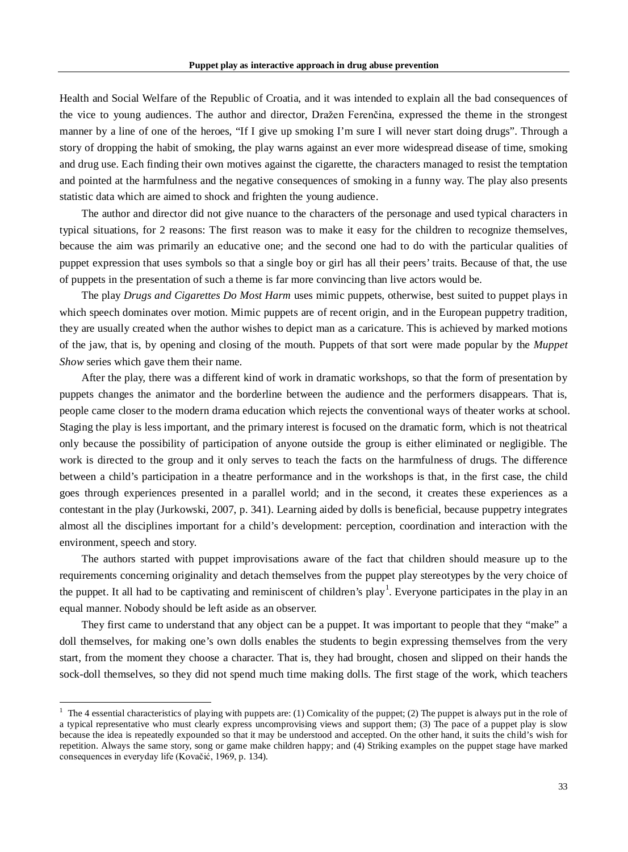Health and Social Welfare of the Republic of Croatia, and it was intended to explain all the bad consequences of the vice to young audiences. The author and director, Dražen Ferenčina, expressed the theme in the strongest manner by a line of one of the heroes, "If I give up smoking I'm sure I will never start doing drugs". Through a story of dropping the habit of smoking, the play warns against an ever more widespread disease of time, smoking and drug use. Each finding their own motives against the cigarette, the characters managed to resist the temptation and pointed at the harmfulness and the negative consequences of smoking in a funny way. The play also presents statistic data which are aimed to shock and frighten the young audience.

The author and director did not give nuance to the characters of the personage and used typical characters in typical situations, for 2 reasons: The first reason was to make it easy for the children to recognize themselves, because the aim was primarily an educative one; and the second one had to do with the particular qualities of puppet expression that uses symbols so that a single boy or girl has all their peers' traits. Because of that, the use of puppets in the presentation of such a theme is far more convincing than live actors would be.

The play *Drugs and Cigarettes Do Most Harm* uses mimic puppets, otherwise, best suited to puppet plays in which speech dominates over motion. Mimic puppets are of recent origin, and in the European puppetry tradition, they are usually created when the author wishes to depict man as a caricature. This is achieved by marked motions of the jaw, that is, by opening and closing of the mouth. Puppets of that sort were made popular by the *Muppet Show* series which gave them their name.

After the play, there was a different kind of work in dramatic workshops, so that the form of presentation by puppets changes the animator and the borderline between the audience and the performers disappears. That is, people came closer to the modern drama education which rejects the conventional ways of theater works at school. Staging the play is less important, and the primary interest is focused on the dramatic form, which is not theatrical only because the possibility of participation of anyone outside the group is either eliminated or negligible. The work is directed to the group and it only serves to teach the facts on the harmfulness of drugs. The difference between a child's participation in a theatre performance and in the workshops is that, in the first case, the child goes through experiences presented in a parallel world; and in the second, it creates these experiences as a contestant in the play (Jurkowski, 2007, p. 341). Learning aided by dolls is beneficial, because puppetry integrates almost all the disciplines important for a child's development: perception, coordination and interaction with the environment, speech and story.

The authors started with puppet improvisations aware of the fact that children should measure up to the requirements concerning originality and detach themselves from the puppet play stereotypes by the very choice of the puppet. It all had to be captivating and reminiscent of children's play<sup>[1](#page-4-0)</sup>. Everyone participates in the play in an equal manner. Nobody should be left aside as an observer.

They first came to understand that any object can be a puppet. It was important to people that they "make" a doll themselves, for making one's own dolls enables the students to begin expressing themselves from the very start, from the moment they choose a character. That is, they had brought, chosen and slipped on their hands the sock-doll themselves, so they did not spend much time making dolls. The first stage of the work, which teachers

<span id="page-4-0"></span> $<sup>1</sup>$  The 4 essential characteristics of playing with puppets are: (1) Comicality of the puppet; (2) The puppet is always put in the role of</sup> a typical representative who must clearly express uncomprovising views and support them; (3) The pace of a puppet play is slow because the idea is repeatedly expounded so that it may be understood and accepted. On the other hand, it suits the child's wish for repetition. Always the same story, song or game make children happy; and (4) Striking examples on the puppet stage have marked consequences in everyday life (Kovačić, 1969, p. 134).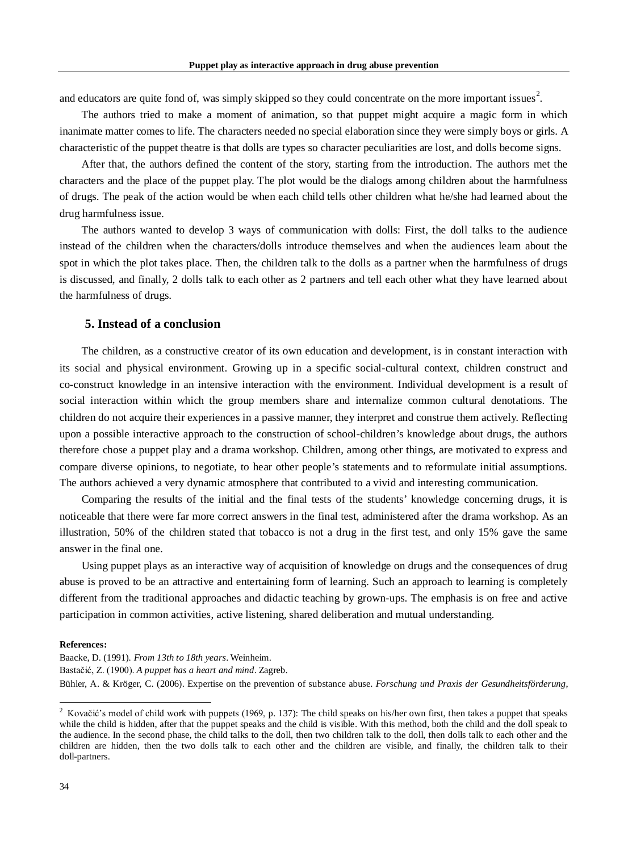and educators are quite fond of, was simply skipped so they could concentrate on the more important issues<sup>[2](#page-5-0)</sup>.

The authors tried to make a moment of animation, so that puppet might acquire a magic form in which inanimate matter comes to life. The characters needed no special elaboration since they were simply boys or girls. A characteristic of the puppet theatre is that dolls are types so character peculiarities are lost, and dolls become signs.

After that, the authors defined the content of the story, starting from the introduction. The authors met the characters and the place of the puppet play. The plot would be the dialogs among children about the harmfulness of drugs. The peak of the action would be when each child tells other children what he/she had learned about the drug harmfulness issue.

The authors wanted to develop 3 ways of communication with dolls: First, the doll talks to the audience instead of the children when the characters/dolls introduce themselves and when the audiences learn about the spot in which the plot takes place. Then, the children talk to the dolls as a partner when the harmfulness of drugs is discussed, and finally, 2 dolls talk to each other as 2 partners and tell each other what they have learned about the harmfulness of drugs.

## **5. Instead of a conclusion**

The children, as a constructive creator of its own education and development, is in constant interaction with its social and physical environment. Growing up in a specific social-cultural context, children construct and co-construct knowledge in an intensive interaction with the environment. Individual development is a result of social interaction within which the group members share and internalize common cultural denotations. The children do not acquire their experiences in a passive manner, they interpret and construe them actively. Reflecting upon a possible interactive approach to the construction of school-children's knowledge about drugs, the authors therefore chose a puppet play and a drama workshop. Children, among other things, are motivated to express and compare diverse opinions, to negotiate, to hear other people's statements and to reformulate initial assumptions. The authors achieved a very dynamic atmosphere that contributed to a vivid and interesting communication.

Comparing the results of the initial and the final tests of the students' knowledge concerning drugs, it is noticeable that there were far more correct answers in the final test, administered after the drama workshop. As an illustration, 50% of the children stated that tobacco is not a drug in the first test, and only 15% gave the same answer in the final one.

Using puppet plays as an interactive way of acquisition of knowledge on drugs and the consequences of drug abuse is proved to be an attractive and entertaining form of learning. Such an approach to learning is completely different from the traditional approaches and didactic teaching by grown-ups. The emphasis is on free and active participation in common activities, active listening, shared deliberation and mutual understanding.

#### **References:**

Baacke, D. (1991). *From 13th to 18th years*. Weinheim. Bastačić, Z. (1900). *A puppet has a heart and mind*. Zagreb. Bühler, A. & Kröger, C. (2006). Expertise on the prevention of substance abuse. *Forschung und Praxis der Gesundheitsförderung*,

<span id="page-5-0"></span> $2$  Kovačić's model of child work with puppets (1969, p. 137): The child speaks on his/her own first, then takes a puppet that speaks while the child is hidden, after that the puppet speaks and the child is visible. With this method, both the child and the doll speak to the audience. In the second phase, the child talks to the doll, then two children talk to the doll, then dolls talk to each other and the children are hidden, then the two dolls talk to each other and the children are visible, and finally, the children talk to their doll-partners.